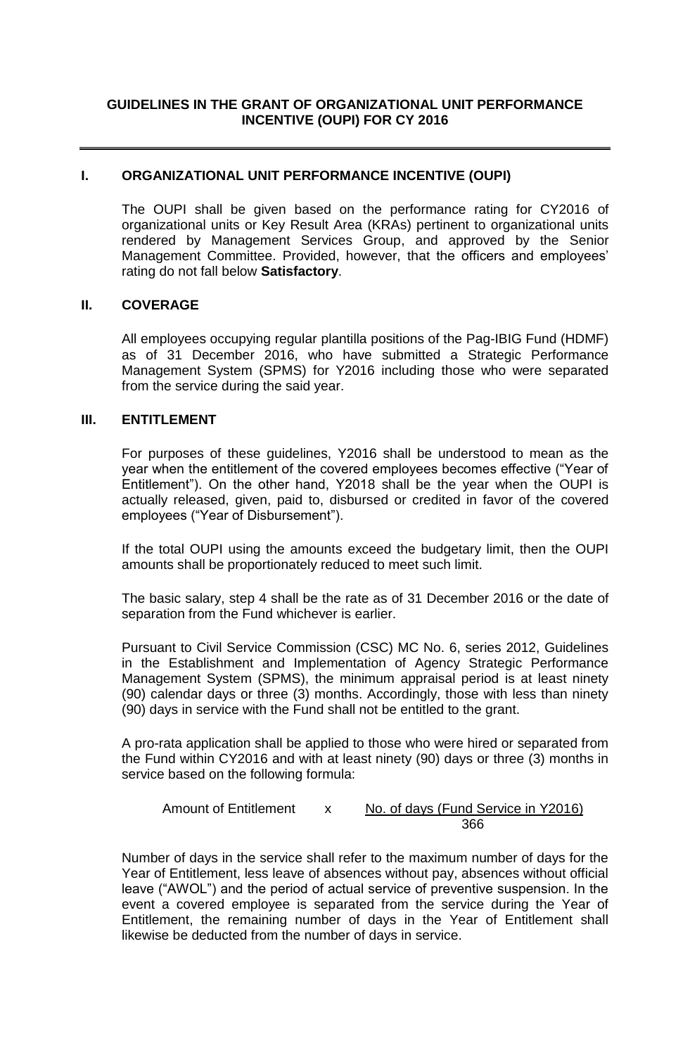# **GUIDELINES IN THE GRANT OF ORGANIZATIONAL UNIT PERFORMANCE INCENTIVE (OUPI) FOR CY 2016**

#### **I. ORGANIZATIONAL UNIT PERFORMANCE INCENTIVE (OUPI)**

The OUPI shall be given based on the performance rating for CY2016 of organizational units or Key Result Area (KRAs) pertinent to organizational units rendered by Management Services Group, and approved by the Senior Management Committee. Provided, however, that the officers and employees' rating do not fall below **Satisfactory**.

# **II. COVERAGE**

All employees occupying regular plantilla positions of the Pag-IBIG Fund (HDMF) as of 31 December 2016, who have submitted a Strategic Performance Management System (SPMS) for Y2016 including those who were separated from the service during the said year.

#### **III. ENTITLEMENT**

For purposes of these guidelines, Y2016 shall be understood to mean as the year when the entitlement of the covered employees becomes effective ("Year of Entitlement"). On the other hand, Y2018 shall be the year when the OUPI is actually released, given, paid to, disbursed or credited in favor of the covered employees ("Year of Disbursement").

If the total OUPI using the amounts exceed the budgetary limit, then the OUPI amounts shall be proportionately reduced to meet such limit.

The basic salary, step 4 shall be the rate as of 31 December 2016 or the date of separation from the Fund whichever is earlier.

Pursuant to Civil Service Commission (CSC) MC No. 6, series 2012, Guidelines in the Establishment and Implementation of Agency Strategic Performance Management System (SPMS), the minimum appraisal period is at least ninety (90) calendar days or three (3) months. Accordingly, those with less than ninety (90) days in service with the Fund shall not be entitled to the grant.

A pro-rata application shall be applied to those who were hired or separated from the Fund within CY2016 and with at least ninety (90) days or three (3) months in service based on the following formula:

Amount of Entitlement x No. of days (Fund Service in Y2016) 366

Number of days in the service shall refer to the maximum number of days for the Year of Entitlement, less leave of absences without pay, absences without official leave ("AWOL") and the period of actual service of preventive suspension. In the event a covered employee is separated from the service during the Year of Entitlement, the remaining number of days in the Year of Entitlement shall likewise be deducted from the number of days in service.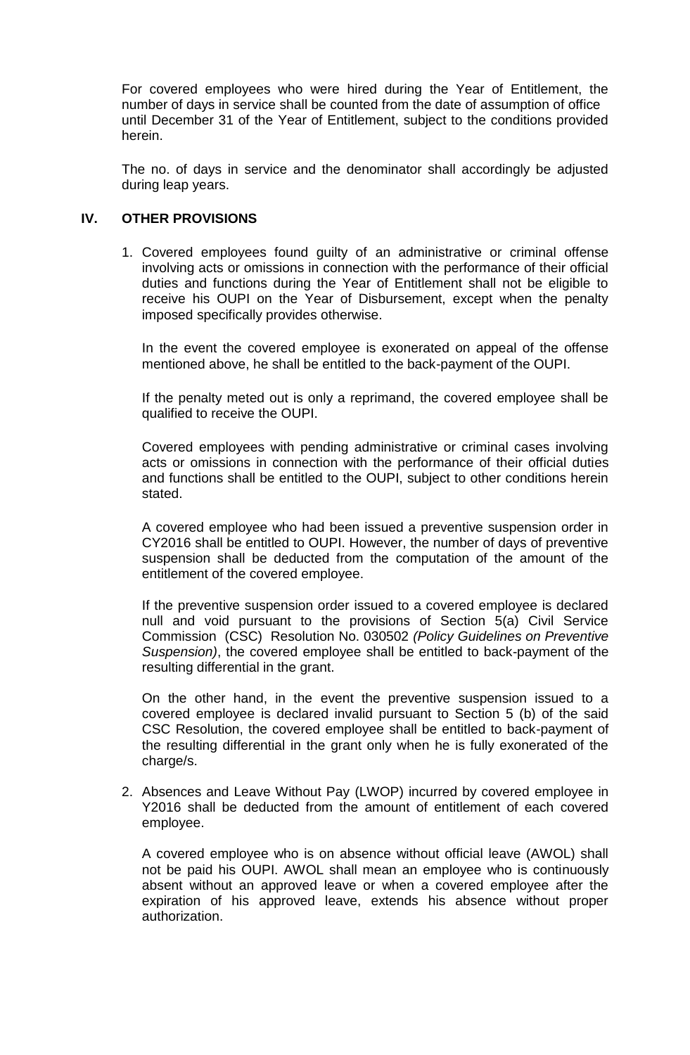For covered employees who were hired during the Year of Entitlement, the number of days in service shall be counted from the date of assumption of office until December 31 of the Year of Entitlement, subject to the conditions provided herein.

The no. of days in service and the denominator shall accordingly be adjusted during leap years.

# **IV. OTHER PROVISIONS**

1. Covered employees found guilty of an administrative or criminal offense involving acts or omissions in connection with the performance of their official duties and functions during the Year of Entitlement shall not be eligible to receive his OUPI on the Year of Disbursement, except when the penalty imposed specifically provides otherwise.

In the event the covered employee is exonerated on appeal of the offense mentioned above, he shall be entitled to the back-payment of the OUPI.

If the penalty meted out is only a reprimand, the covered employee shall be qualified to receive the OUPI.

Covered employees with pending administrative or criminal cases involving acts or omissions in connection with the performance of their official duties and functions shall be entitled to the OUPI, subject to other conditions herein stated.

A covered employee who had been issued a preventive suspension order in CY2016 shall be entitled to OUPI. However, the number of days of preventive suspension shall be deducted from the computation of the amount of the entitlement of the covered employee.

If the preventive suspension order issued to a covered employee is declared null and void pursuant to the provisions of Section 5(a) Civil Service Commission (CSC) Resolution No. 030502 *(Policy Guidelines on Preventive Suspension)*, the covered employee shall be entitled to back-payment of the resulting differential in the grant.

On the other hand, in the event the preventive suspension issued to a covered employee is declared invalid pursuant to Section 5 (b) of the said CSC Resolution, the covered employee shall be entitled to back-payment of the resulting differential in the grant only when he is fully exonerated of the charge/s.

2. Absences and Leave Without Pay (LWOP) incurred by covered employee in Y2016 shall be deducted from the amount of entitlement of each covered employee.

A covered employee who is on absence without official leave (AWOL) shall not be paid his OUPI. AWOL shall mean an employee who is continuously absent without an approved leave or when a covered employee after the expiration of his approved leave, extends his absence without proper authorization.